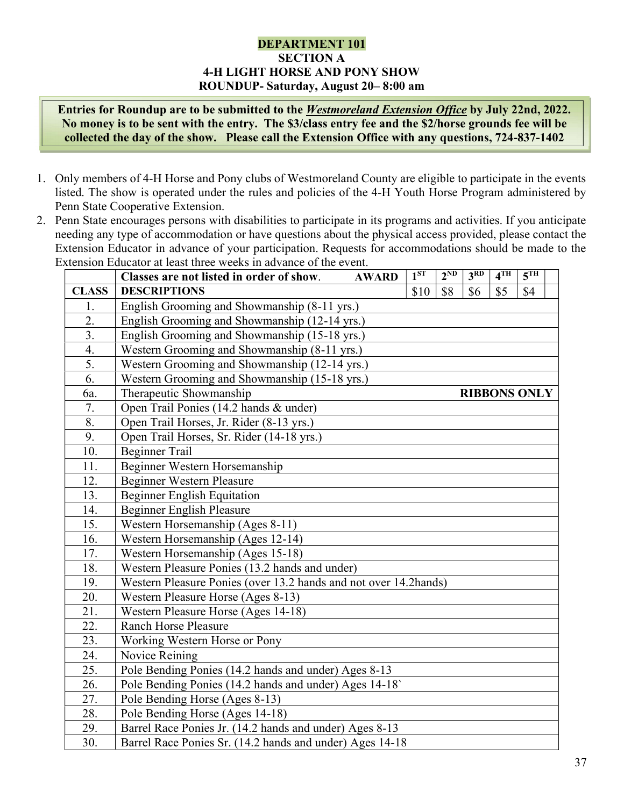## DEPARTMENT 101 SECTION A 4-H LIGHT HORSE AND PONY SHOW ROUNDUP- Saturday, August 20– 8:00 am

Entries for Roundup are to be submitted to the Westmoreland Extension Office by July 22nd, 2022. No money is to be sent with the entry. The \$3/class entry fee and the \$2/horse grounds fee will be collected the day of the show. Please call the Extension Office with any questions, 724-837-1402

- 1. Only members of 4-H Horse and Pony clubs of Westmoreland County are eligible to participate in the events listed. The show is operated under the rules and policies of the 4-H Youth Horse Program administered by Penn State Cooperative Extension.
- 2. Penn State encourages persons with disabilities to participate in its programs and activities. If you anticipate needing any type of accommodation or have questions about the physical access provided, please contact the Extension Educator in advance of your participation. Requests for accommodations should be made to the Extension Educator at least three weeks in advance of the event.

|              | Classes are not listed in order of show.<br><b>AWARD</b>          | 1 <sup>ST</sup> | $2^{ND}$ | 3 <sup>RD</sup>     | 4 <sup>TH</sup> | 5 <sup>TH</sup> |  |
|--------------|-------------------------------------------------------------------|-----------------|----------|---------------------|-----------------|-----------------|--|
| <b>CLASS</b> | <b>DESCRIPTIONS</b>                                               | \$10            | \$8      | \$6                 | \$5             | \$4             |  |
| 1.           | English Grooming and Showmanship (8-11 yrs.)                      |                 |          |                     |                 |                 |  |
| 2.           | English Grooming and Showmanship (12-14 yrs.)                     |                 |          |                     |                 |                 |  |
| 3.           | English Grooming and Showmanship (15-18 yrs.)                     |                 |          |                     |                 |                 |  |
| 4.           | Western Grooming and Showmanship (8-11 yrs.)                      |                 |          |                     |                 |                 |  |
| 5.           | Western Grooming and Showmanship (12-14 yrs.)                     |                 |          |                     |                 |                 |  |
| 6.           | Western Grooming and Showmanship (15-18 yrs.)                     |                 |          |                     |                 |                 |  |
| 6a.          | Therapeutic Showmanship                                           |                 |          | <b>RIBBONS ONLY</b> |                 |                 |  |
| 7.           | Open Trail Ponies (14.2 hands & under)                            |                 |          |                     |                 |                 |  |
| 8.           | Open Trail Horses, Jr. Rider (8-13 yrs.)                          |                 |          |                     |                 |                 |  |
| 9.           | Open Trail Horses, Sr. Rider (14-18 yrs.)                         |                 |          |                     |                 |                 |  |
| 10.          | <b>Beginner Trail</b>                                             |                 |          |                     |                 |                 |  |
| 11.          | Beginner Western Horsemanship                                     |                 |          |                     |                 |                 |  |
| 12.          | <b>Beginner Western Pleasure</b>                                  |                 |          |                     |                 |                 |  |
| 13.          | <b>Beginner English Equitation</b>                                |                 |          |                     |                 |                 |  |
| 14.          | <b>Beginner English Pleasure</b>                                  |                 |          |                     |                 |                 |  |
| 15.          | Western Horsemanship (Ages 8-11)                                  |                 |          |                     |                 |                 |  |
| 16.          | Western Horsemanship (Ages 12-14)                                 |                 |          |                     |                 |                 |  |
| 17.          | Western Horsemanship (Ages 15-18)                                 |                 |          |                     |                 |                 |  |
| 18.          | Western Pleasure Ponies (13.2 hands and under)                    |                 |          |                     |                 |                 |  |
| 19.          | Western Pleasure Ponies (over 13.2 hands and not over 14.2 hands) |                 |          |                     |                 |                 |  |
| 20.          | Western Pleasure Horse (Ages 8-13)                                |                 |          |                     |                 |                 |  |
| 21.          | Western Pleasure Horse (Ages 14-18)                               |                 |          |                     |                 |                 |  |
| 22.          | <b>Ranch Horse Pleasure</b>                                       |                 |          |                     |                 |                 |  |
| 23.          | Working Western Horse or Pony                                     |                 |          |                     |                 |                 |  |
| 24.          | Novice Reining                                                    |                 |          |                     |                 |                 |  |
| 25.          | Pole Bending Ponies (14.2 hands and under) Ages 8-13              |                 |          |                     |                 |                 |  |
| 26.          | Pole Bending Ponies (14.2 hands and under) Ages 14-18             |                 |          |                     |                 |                 |  |
| 27.          | Pole Bending Horse (Ages 8-13)                                    |                 |          |                     |                 |                 |  |
| 28.          | Pole Bending Horse (Ages 14-18)                                   |                 |          |                     |                 |                 |  |
| 29.          | Barrel Race Ponies Jr. (14.2 hands and under) Ages 8-13           |                 |          |                     |                 |                 |  |
| 30.          | Barrel Race Ponies Sr. (14.2 hands and under) Ages 14-18          |                 |          |                     |                 |                 |  |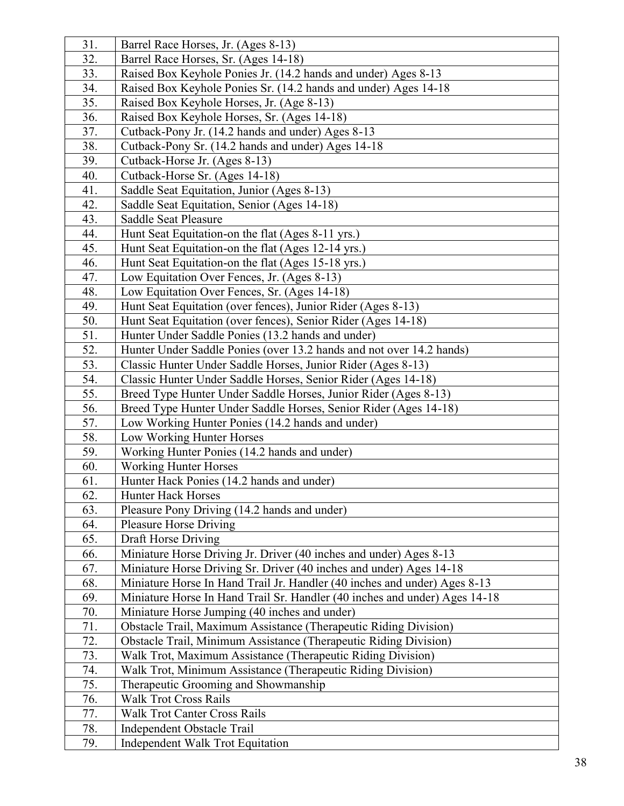| 31.        | Barrel Race Horses, Jr. (Ages 8-13)                                        |
|------------|----------------------------------------------------------------------------|
| 32.        | Barrel Race Horses, Sr. (Ages 14-18)                                       |
| 33.        | Raised Box Keyhole Ponies Jr. (14.2 hands and under) Ages 8-13             |
| 34.        | Raised Box Keyhole Ponies Sr. (14.2 hands and under) Ages 14-18            |
| 35.        | Raised Box Keyhole Horses, Jr. (Age 8-13)                                  |
| 36.        | Raised Box Keyhole Horses, Sr. (Ages 14-18)                                |
| 37.        | Cutback-Pony Jr. (14.2 hands and under) Ages 8-13                          |
| 38.        | Cutback-Pony Sr. (14.2 hands and under) Ages 14-18                         |
| 39.        | Cutback-Horse Jr. (Ages 8-13)                                              |
| 40.        | Cutback-Horse Sr. (Ages 14-18)                                             |
| 41.        | Saddle Seat Equitation, Junior (Ages 8-13)                                 |
| 42.        | Saddle Seat Equitation, Senior (Ages 14-18)                                |
| 43.        | Saddle Seat Pleasure                                                       |
| 44.        | Hunt Seat Equitation-on the flat (Ages 8-11 yrs.)                          |
| 45.        | Hunt Seat Equitation-on the flat (Ages 12-14 yrs.)                         |
| 46.        | Hunt Seat Equitation-on the flat (Ages 15-18 yrs.)                         |
| 47.        | Low Equitation Over Fences, Jr. (Ages 8-13)                                |
| 48.        | Low Equitation Over Fences, Sr. (Ages 14-18)                               |
| 49.        | Hunt Seat Equitation (over fences), Junior Rider (Ages 8-13)               |
| 50.        | Hunt Seat Equitation (over fences), Senior Rider (Ages 14-18)              |
| 51.        | Hunter Under Saddle Ponies (13.2 hands and under)                          |
| 52.        | Hunter Under Saddle Ponies (over 13.2 hands and not over 14.2 hands)       |
| 53.        | Classic Hunter Under Saddle Horses, Junior Rider (Ages 8-13)               |
| 54.        | Classic Hunter Under Saddle Horses, Senior Rider (Ages 14-18)              |
| 55.        | Breed Type Hunter Under Saddle Horses, Junior Rider (Ages 8-13)            |
| 56.        | Breed Type Hunter Under Saddle Horses, Senior Rider (Ages 14-18)           |
| 57.        | Low Working Hunter Ponies (14.2 hands and under)                           |
| 58.        | Low Working Hunter Horses                                                  |
| 59.        | Working Hunter Ponies (14.2 hands and under)                               |
| 60.        | <b>Working Hunter Horses</b>                                               |
| 61.        | Hunter Hack Ponies (14.2 hands and under)                                  |
| 62.<br>63. | Hunter Hack Horses<br>Pleasure Pony Driving (14.2 hands and under)         |
| 64.        | <b>Pleasure Horse Driving</b>                                              |
| 65.        | Draft Horse Driving                                                        |
| 66.        | Miniature Horse Driving Jr. Driver (40 inches and under) Ages 8-13         |
| 67.        | Miniature Horse Driving Sr. Driver (40 inches and under) Ages 14-18        |
| 68.        | Miniature Horse In Hand Trail Jr. Handler (40 inches and under) Ages 8-13  |
| 69.        | Miniature Horse In Hand Trail Sr. Handler (40 inches and under) Ages 14-18 |
| 70.        | Miniature Horse Jumping (40 inches and under)                              |
| 71.        | Obstacle Trail, Maximum Assistance (Therapeutic Riding Division)           |
| 72.        | Obstacle Trail, Minimum Assistance (Therapeutic Riding Division)           |
| 73.        | Walk Trot, Maximum Assistance (Therapeutic Riding Division)                |
| 74.        | Walk Trot, Minimum Assistance (Therapeutic Riding Division)                |
| 75.        | Therapeutic Grooming and Showmanship                                       |
| 76.        | <b>Walk Trot Cross Rails</b>                                               |
| 77.        | <b>Walk Trot Canter Cross Rails</b>                                        |
| 78.        | Independent Obstacle Trail                                                 |
| 79.        | Independent Walk Trot Equitation                                           |